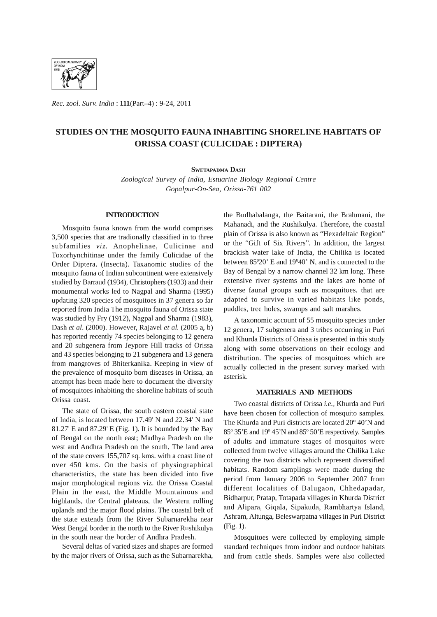

*Rec. zool. Surv. India:* 111(Part-4) : 9-24, 2011

# **STUDIES ON THE MOSQUITO FAUNA INHABITING SHORELINE HABITATS OF ORISSA COAST (CULICIDAE: DIPTERA)**

#### SWETAPADMA DASH

*Zoological Survey* of *India, Estuarine Biology Regional Centre Gopalpur-On-Sea, Orissa-761 002* 

# **INTRODUCTION**

Mosquito fauna known from the world comprises 3,500 species that are tradionally classified in to three subfamilies *viz.* Anophelinae, Culicinae and Toxorhynchitinae under the family Culicidae of the Order Diptera. (Insecta). Taxanomic studies of the mosquito fauna of Indian subcontinent were extensively studied by Barraud (1934), Christophers (1933) and their monumental works led to Nagpal and Sharma (1995) updating 320 species of mosquitoes in 37 genera so far reported from India The mosquito fauna of Orissa state was studied by Fry (1912), Nagpal and Sharma (1983), Dash *et al.* (2000). However, Rajavel *et al.* (2005 a, b) has reported recently 74 species belonging to 12 genera and 20 subgenera from Jeypore Hill tracks of Orissa and 43 species belonging to 21 subgenera and 13 genera from mangroves of Bhiterkanika. Keeping in view of the prevalence of mosquito born diseases in Orissa, an attempt has been made here to document the diversity of mosquitoes inhabiting the shoreline habitats of south Orissa coast.

The state of Orissa, the south eastern coastal state of India, is located between 17.49' N and 22.34' N and 81.27' E and 87.29' E (Fig. 1). It is bounded by the Bay of Bengal on the north east; Madhya Pradesh on the west and Andhra Pradesh on the south. The land area of the state covers 155,707 sq. kms. with a coast line of over 450 kms. On the basis of physiographical characteristics, the state has been divided into five major morphological regions viz. the Orissa Coastal Plain in the east, the Middle Mountainous and highlands, the Central plateaus, the Western rolling uplands and the major flood plains. The coastal belt of the state extends from the River Subarnarekha near West Bengal border in the north to the River Rushikulya in the south near the border of Andhra Pradesh.

Several deltas of varied sizes and shapes are formed by the major rivers of Orissa, such as the Subarnarekha,

the Budhabalanga, the Baitarani, the Brahmani, the Mahanadi, and the Rushikulya. Therefore, the coastal plain of Orissa is also known as "Hexadeltaic Region" or the "Gift of Six Rivers". In addition, the largest brackish water lake of India, the Chilika is located between 85°20' E and 19°40' N, and is connected to the Bay of Bengal by a narrow channel 32 km long. These extensive river systems and the lakes are home of diverse faunal groups such as mosquitoes. that are adapted to survive in varied habitats like ponds, puddles, tree holes, swamps and salt marshes.

A taxonomic account of 55 mosquito species under 12 genera, 17 subgenera and 3 tribes occurring in Puri and Khurda Districts of Orissa is presented in this study along with some observations on their ecology and distribution. The species of mosquitoes which are actually collected in the present survey marked with asterisk.

# **MATERIALS AND ME'IHODS**

Two coastal districts of Orissa *i.e.,* Khurda and Puri have been chosen for collection of mosquito samples. The Khurda and Puri districts are located 20° 40'N and 85° 35'E and 19° 45'N and 85° 50'E respectively. Samples of adults and immature stages of mosquitos were collected from twelve villages around the Chilika Lake covering the two districts which represent diversified habitats. Random samplings were made during the period from January 2006 to September 2007 from different localities of Balugaon, Chhedapadar, Bidharpur, Pratap, Totapada villages in Khurda District and Alipara, Giqala, Sipakuda, Rambhartya Island, Ashram, Altunga, Beleswarpatna villages in Puri District (Fig. 1).

Mosquitoes were collected by employing simple standard techniques from indoor and outdoor habitats and from cattle sheds. Samples were also collected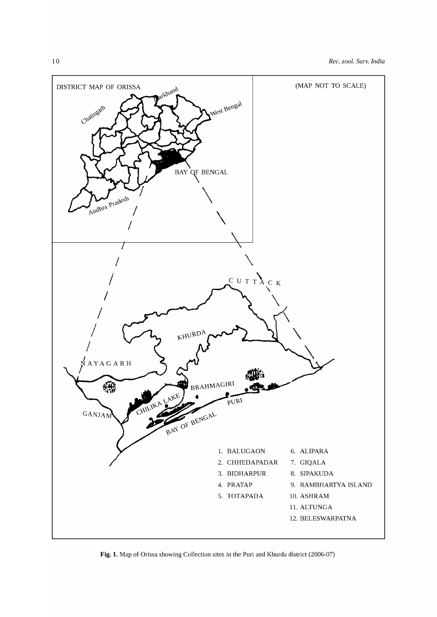

**Fig. 1.** Map of Orissa showing Collection sites in the Puri and Khurda district (2006-07)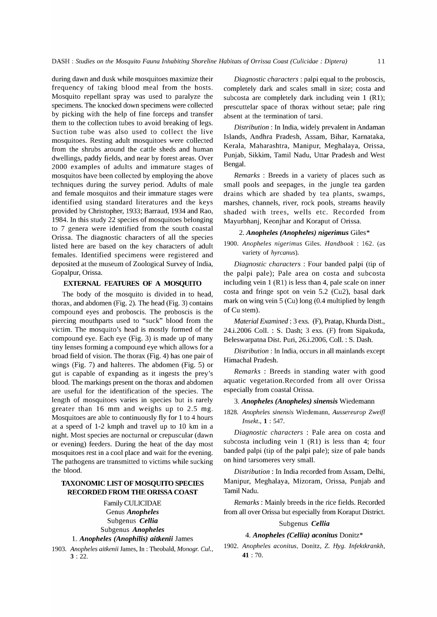during dawn and dusk while mosquitoes maximize their frequency of taking blood meal from the hosts. Mosquito repellant spray was used to paralyze the specimens. The knocked down specimens were collected by picking with the help of fine forceps and transfer them to the collection tubes to avoid breaking of legs. Suction tube was also used to collect the live mosquitoes. Resting adult mosquitoes were collected from the shrubs around the cattle sheds and human dwellings, paddy fields, and near by forest areas. Over 2000 examples of adults and immature stages of mosquitos have been collected by employing the above techniques during the survey period. Adults of male and female mosquitos and their immature stages were identified using standard literatures and the keys provided by Christopher, 1933; Barraud, 1934 and Rao, 1984. In this study 22 species of mosquitoes belonging to 7 genera were identified from the south coastal Orissa. The diagnostic characters of all the species listed here are based on the key characters of adult females. Identified specimens were registered and deposited at the museum of Zoological Survey of India, Gopalpur, Orissa.

# EXTERNAL FEATURES OF A MOSQUITO

The body of the mosquito is divided in to head, thorax, and abdomen (Fig. 2). The head (Fig. 3) contains compound eyes and proboscis. The proboscis is the piercing mouthparts used to "suck" blood from the victim. The mosquito's head is mostly formed of the compound eye. Each eye (Fig. 3) is made up of many tiny lenses forming a compound eye which allows for a broad field of vision. The thorax (Fig. 4) has one pair of wings (Fig. 7) and halteres. The abdomen (Fig. 5) or gut is capable of expanding as it ingests the prey's blood. The markings present on the thorax and abdomen are useful for the identification of the species. The length of mosquitoes varies in species but is rarely greater than 16 mm and weighs up to 2.5 mg. Mosquitoes are able to continuously fly for 1 to 4 hours at a speed of 1-2 kmph and travel up to 10 km in a night. Most species are nocturnal or crepuscular (dawn or evening) feeders. During the heat of the day most mosquitoes rest in a cool place and wait for the evening. The pathogens are transmitted to victims while sucking the blood.

# TAXONOMIC LIST OF MOSQUITO SPECIES RECORDED FROM THE ORISSA COAST

Family CULICIDAE Genus *Anopheles*  Subgenus *Cellia*  Subgenus *Anopheles* 

# 1. *Anopheles (Anophilis) aitkenii James*

*1903. Anopheles aitkenii* James, In : Theobald, *Monogr. CuI.,*   $3:22.$ 

*Diagnostic characters:* palpi equal to the proboscis, completely dark and scales small in size; costa and subcosta are completely dark including vein 1 (R1); prescuttelar space of thorax without setae; pale ring absent at the termination of tarsi.

*Distribution:* In India, widely prevalent in Andaman Islands, Andhra Pradesh, Assam, Bihar, Karnataka, Kerala, Maharashtra, Manipur, Meghalaya, Orissa, Punjab, Sikkim, Tamil Nadu, Uttar Pradesh and West Bengal.

*Remarks* : Breeds in a variety of places such as small pools and seepages, in the jungle tea garden drains which are shaded by tea plants, swamps, marshes, channels, river, rock pools, streams heavily shaded with trees, wells etc. Recorded from Mayurbhanj, Keonjhar and Koraput of Orissa.

## *2. Anopheles (Anopheles) nigerimus* Giles\*

*1900. Anopheles nigerimus* Giles. *Handbook:* 162. (as variety of *hyrcanus).* 

*Diagnostic characters* : Four banded palpi (tip of the palpi pale); Pale area on costa and subcosta including vein 1 (Rl) is less than 4, pale scale on inner costa and fringe spot on vein 5.2 (Cu2), basal dark mark on wing vein 5 (Cu) long (0.4 multiplied by length of Cu stem).

*Material Examined:* 3 exs. (F), Pratap, Khurda Distt., 24.i.2006 ColI. : S. Dash; 3 exs. (F) from Sipakuda, Beleswarpatna Dist. Puri, 26.i.2006, ColI. : S. Dash.

*Distribution:* In India, occurs in all mainlands except Himachal Pradesh.

*Remarks* : Breeds in standing water with good aquatic vegetation. Recorded from all over Orissa especially from coastal Orissa.

#### *3. Anopheles (Anopheles) sinensis* Wiedemann

*1828. Anopheles sinensis* Wiedemann, *Aussereurop Zwei{l Insekt.,* 1 : 547.

*Diagnostic characters* : Pale area on costa and subcosta including vein 1 (Rl) is less than 4; four banded palpi (tip of the palpi pale); size of pale bands on hind tarsomeres very small.

*Distribution:* In India recorded from Assam, Delhi, Manipur, Meghalaya, Mizoram, Orissa, Punjab and Tamil Nadu.

*Remarks:* Mainly breeds in the rice fields. Recorded from all over Orissa but especially from Koraput District.

#### Subgenus *Cellia*

# *4. Anopheles (Cellia) aconitus* Donitz\*

*1902. Anopheles aconitus,* Donitz, Z. *Hyg. Infektkrankh,*  41 : 70.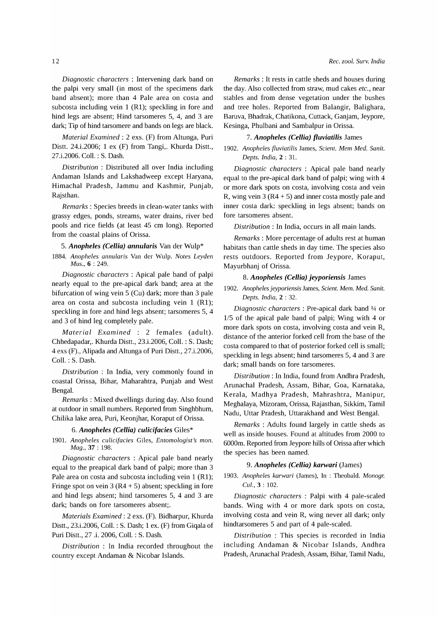hind legs are absent; Hind tarsomeres 5, 4, and 3 are dark; Tip of hind tarsomere and bands on legs are black. *Material Examined:* 2 exs. (F) from Altunga, Puri

Distt. 24.i.2006; 1 ex (F) from Tangi,. Khurda Distt., 27.i.2006. ColI. : S. Dash.

*Distribution* : Distributed all over India including Andaman Islands and Lakshadweep except Haryana, Himachal Pradesh, Jammu and Kashmir, Punjab, Rajsthan.

*Remarks:* Species breeds in clean-water tanks with grassy edges, ponds, streams, water drains, river bed pools and rice fields (at least 45 cm long). Reported from the coastal plains of Orissa.

# *5. Anopheles (Cellia) annularis* Van der Wulp\*

*1884. Anopheles annularis* Van der Wulp. *Notes Leyden Mus.,* 6 : 249.

*Diagnostic characters* : Apical pale band of palpi nearly equal to the pre-apical dark band; area at the bifurcation of wing vein 5 (Cu) dark; more than 3 pale area on costa and subcosta including vein  $1$  (R1); speckling in fore and hind legs absent; tarsomeres 5, 4 and 3 of hind leg completely pale.

*Material Examined* : 2 females (adult). Chhedapadar,. Khurda Distt., 23.i.2006, ColI. : S. Dash; 4 exs (F)., Alipada and Altunga of Puri Distt., 27.i.2006, ColI. : S. Dash.

*Distribution* : In India, very commonly found in coastal Orissa, Bihar, Maharahtra, Punjab and West Bengal.

*Remarks:* Mixed dwellings during day. Also found at outdoor in small numbers. Reported from Singhbhum, Chilika lake area, Puri, Keonjhar, Koraput of Orissa.

# *6. Anopheles (Cellia) culicifacies* Giles\*

1901. Anopheles culicifacies Giles, *Entomologist's mon. Mag.,* 37 : 198.

*Diagnostic characters* : Apical pale band nearly equal to the preapical dark band of palpi; more than 3 Pale area on costa and subcosta including vein 1 (R1); Fringe spot on vein  $3(R4 + 5)$  absent; speckling in fore and hind legs absent; hind tarsomeres 5, 4 and 3 are dark; bands on fore tarsomeres absent;.

*Materials Examined:* 2 exs. (F). Bidharpur, Khurda Distt., 23.i.2006, ColI. : S. Dash; 1 ex. (F) from Giqala of Puri Distt., 27 .i. 2006, ColI. : S. Dash.

*Distribution* : In India recorded throughout the country except Andaman & Nicobar Islands.

*Remarks:* It rests in cattle sheds and houses during the day. Also collected from straw, mud cakes *etc.,* near stables and from dense vegetation under the bushes and tree holes. Reported from Balangir, Balighara, Baruva, Bhadrak, Chatikona, Cuttack, Ganjam, Jeypore, Kesinga, Phulbani and Sambalpur in Orissa.

#### *7. Anopheles (Cellia) fluviatilis* James

*1902. Anopheles fluviatilis* James, *Scient. Mem Med. Sanit. Depts. India,* 2 : 31.

*Diagnostic characters* : Apical pale band nearly equal to the pre-apical dark band of palpi; wing with 4 or more dark spots on costa, involving costa and vein R, wing vein 3 ( $R4 + 5$ ) and inner costa mostly pale and inner costa dark: speckling in legs absent; bands on fore tarsomeres absent.

*Distribution:* In India, occurs in all main lands.

*Remarks:* More percentage of adults rest at human habitats than cattle sheds in day time. The species also rests outdoors. Reported from Jeypore, Koraput, Mayurbhanj of Orissa.

## *8. Anopheles (Cellia) jeyporiensis* James

*1902. Anopheles jeyporiensis* James, *Scient. Mem. Med. Sanit. Depts. India,* 2 : 32.

*Diagnostic characters* : Pre-apical dark band 1/4 or 1/5 of the apical pale band of palpi; Wing with 4 or more dark spots on costa, involving costa and vein R, distance of the anterior forked cell from the base of the costa compared to that of posterior forked cell is small; speckling in legs absent; hind tarsomeres 5, 4 and 3 are dark; small bands on fore tarsomeres.

*Distribution:* In India, found from Andhra Pradesh, Arunachal Pradesh, Assam, Bihar, Goa, Karnataka, Kerala, Madhya Pradesh, Mahrashtra, Manipur, Meghalaya, Mizoram, Orissa, Rajasthan, Sikkim, Tamil Nadu, Uttar Pradesh, Uttarakhand and West Bengal.

*Remarks* : Adults found largely in cattle sheds as well as inside houses. Found at altitudes from 2000 to 6000m. Reported from Jeypore hills of Orissa after which the species has been named.

# *9. Anopheles (Cellia) karwari* (James)

*1903. Anopheles karwari* (James), In : Theobald. *Monogr.*  CuI., 3 : 102.

*Diagnostic characters:* Palpi with 4 pale-scaled bands. Wing with 4 or more dark spots on costa, involving costa and vein R, wing never all dark; only hindtarsomeres 5 and part of 4 pale-scaled.

*Distribution* : This species is recorded in India including Andaman & Nicobar Islands, Andhra Pradesh, Arunachal Pradesh, Assam, Bihar, Tamil Nadu,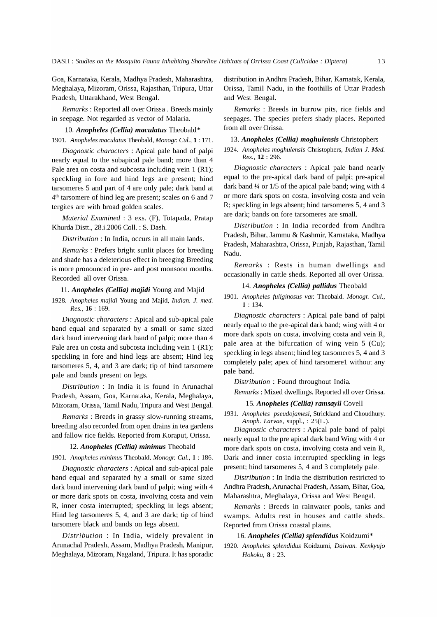Goa, Karnataka, Kerala, Madhya Pradesh, Maharashtra, Meghalaya, Mizoram, Orissa, Rajasthan, Tripura, Uttar Pradesh, Uttarakhand, West Bengal.

*Remarks:* Reported all over Orissa. Breeds mainly in seepage. Not regarded as vector of Malaria.

*10. Anopheles (Cellia) maculatus* Theobald\* *1901. Anopheles maculatus* Theobald, *Monogr. CuI.,* 1: 171.

*Diagnostic characters* : Apical pale band of palpi nearly equal to the subapical pale band; more than 4 Pale area on costa and subcosta including vein 1 (R1); speckling in fore and hind legs are present; hind tarsomeres 5 and part of 4 are only pale; dark band at  $4<sup>th</sup>$  tarsomere of hind leg are present; scales on 6 and 7 tergites are with broad golden scales.

*Material Examined* : 3 exs. (F), Totapada, Pratap Khurda Distt., 28.i.2006 ColI. : S. Dash.

*Distribution* : In India, occurs in all main lands.

*Remarks* : Prefers bright sunlit places for breeding and shade has a deleterious effect in breeging Breeding is more pronounced in pre- and post monsoon months. Recorded all over Orissa.

11. *Anopheles (Cellia) majidi* Young and Majid *1928. Anopheles majidi* Young and Majid, *Indian.* 1. *med. Res.,* 16 : 169.

*Diagnostic characters:* Apical and sub-apical pale band equal and separated by a small or same sized dark band intervening dark band of palpi; more than 4 Pale area on costa and subcosta including vein 1 (R1); speckling in fore and hind legs are absent; Hind leg tarsomeres 5, 4, and 3 are dark; tip of hind tarsomere pale and bands present on legs.

*Distribution* : In India it is found in Arunachal Pradesh, Assam, Goa, Karnataka, Kerala, Meghalaya, Mizoram, Orissa, Tamil Nadu, Tripura and West Bengal.

*Remarks:* Breeds in grassy slow-running streams, breeding also recorded from open drains in tea gardens and fallow rice fields. Reported from Koraput, Orissa.

# *12. Anopheles (Cellia) minimus* Theobald

*1901. Anopheles minimus* Theobald, *Monogr. CuI.,* 1 : 186.

*Diagnostic characters* : Apical and sub-apical pale band equal and separated by a small or same sized dark band intervening dark band of palpi; wing with 4 or more dark spots on costa, involving costa and vein R, inner costa interrupted; speckling in legs absent; Hind leg tarsomeres 5, 4, and 3 are dark; tip of hind tarsomere black and bands on legs absent.

*Distribution* : In India, widely prevalent in Arunachal Pradesh, Assam, Madhya Pradesh, Manipur, Meghalaya, Mizoram, Nagaland, Tripura. It has sporadic

distribution in Andhra Pradesh, Bihar, Karnatak, Kerala, Orissa, Tamil Nadu, in the foothills of Uttar Pradesh and West Bengal.

*Remarks* : Breeds in burrow pits, rice fields and seepages. The species prefers shady places. Reported from all over Orissa.

# *13. Anopheles (Cellia) moghulensis* Christophers

*1924. Anopheles moghulensis* Christophers, *Indian* 1. *Med. Res.,* 12 : 296.

*Diagnostic characters* : Apical pale band nearly equal to the pre-apical dark band of palpi; pre-apical dark band  $\frac{1}{4}$  or 1/5 of the apical pale band; wing with 4 or more dark spots on costa, involving costa and vein R; speckling in legs absent; hind tarsomeres 5, 4 and 3 are dark; bands on fore tarsomeres are small.

*Distribution* : In India recorded from Andhra Pradesh, Bihar, Jammu & Kashmir, Karnataka, Madhya Pradesh, Maharashtra, Orissa, Punjab, Rajasthan, Tamil Nadu.

*Remarks* : Rests in human dwellings and occasionally in cattle sheds. Reported all over Orissa.

# *14. Anopheles (Cellia) pallidus* Theobald

*1901. Anopheles fuliginosus var.* Theobald. *Monogr. CuI.,*  1 : 134.

*Diagnostic characters* : Apical pale band of palpi nearly equal to the pre-apical dark band; wing with 4 or more dark spots on costa, involving costa and vein R, pale area at the bifurcation of wing vein 5 (Cu); speckling in legs absent; hind leg tarsomeres 5, 4 and 3 completely pale; apex of hind tarsomere1 without any pale band.

*Distribution* : Found throughout India.

*Remarks:* Mixed dwellings. Reported all over Orissa.

#### 15. Anopheles (Cellia) ramsavii Covell

*1931. Anopheles pseudojamesi,* Strickland and Choudhury. *Anoph. Larvae,* suppl., : 2S(L.).

*Diagnostic characters* : Apical pale band of palpi nearly equal to the pre apical dark band Wing with 4 or more dark spots on costa, involving costa and vein R, Dark and inner costa interrupted speckling in legs present; hind tarsomeres 5, 4 and 3 completely pale.

*Distribution* : In India the distribution restricted to Andhra Pradesh, Arunachal Pradesh, Assam, Bihar, Goa, Maharashtra, Meghalaya, Orissa and West Bengal.

*Remarks* : Breeds in rainwater pools, tanks and swamps. Adults rest in houses and cattle sheds. Reported from Orissa coastal plains.

# *16. Anopheles (Cellia) splendidus* Koidzumi \*

*1920. Anopheles splendidus* Koidzumi, *Daiwan. Kenkyujo Hokoku,* 8 : 23.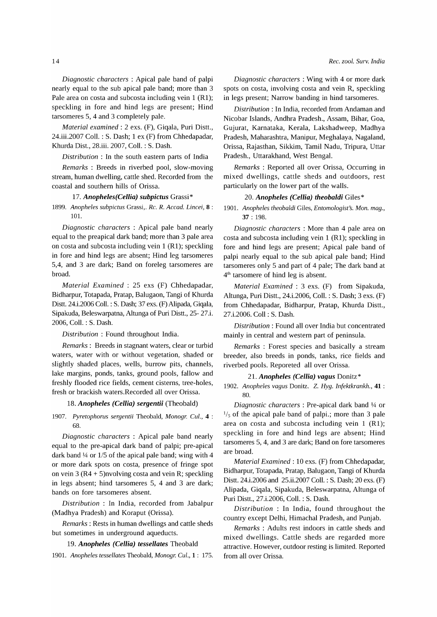*Diagnostic characters* : Apical pale band of palpi nearly equal to the sub apical pale band; more than 3 Pale area on costa and subcosta including vein 1 (R1); speckling in fore and hind legs are present; Hind tarsomeres 5, 4 and 3 completely pale.

*Material examined:* 2 exs. (F), Giqala, Puri Distt., 24.iii.2007 ColI. : S. Dash; 1 ex (F) from Chhedapadar, Khurda Dist., 28.iii. 2007, ColI. : S. Dash.

*Distribution* : In the south eastern parts of India

*Remarks* : Breeds in riverbed pool, slow-moving stream, human dwelling, cattle shed. Recorded from the coastal and southern hills of Orissa.

# *17. Anopheles(Cellia) subpictus* Grassi \*

*1899. Anopheles subpietus* Grassi,. *Re.* R. *Aeead. Lineei,* 8 : 101.

*Diagnostic characters* : Apical pale band nearly equal to the preapical dark band; more than 3 pale area on costa and subcosta including vein 1 (R1); speckling in fore and hind legs are absent; Hind leg tarsomeres 5,4, and 3 are dark; Band on foreleg tarsomeres are broad.

*Material Examined:* 25 exs (F) Chhedapadar, Bidharpur, Totapada, Pratap, Balugaon, Tangi of Khurda Distt. 24.i.2006 ColI. : S. Dash; 37 exs. (F) Alipada, Giqala, Sipakuda, Beleswarpatna, Altunga of Puri Distt., 25- 27.i. 2006, ColI. : S. Dash.

*Distribution* : Found throughout India.

*Remarks:* Breeds in stagnant waters, clear or turbid waters, water with or without vegetation, shaded or slightly shaded places, wells, burrow pits, channels, lake margins, ponds, tanks, ground pools, fallow and freshly flooded rice fields, cement cisterns, tree-holes, fresh or brackish waters. Recorded all over Orissa.

# 18. Anopheles (Cellia) sergentii (Theobald)

*1907. Pyretophorus sergentii* Theobald, *Monogr. CuI.,* 4 : 68.

*Diagnostic characters* : Apical pale band nearly equal to the pre-apical dark band of palpi; pre-apical dark band  $\frac{1}{4}$  or 1/5 of the apical pale band; wing with 4 or more dark spots on costa, presence of fringe spot on vein 3 (R4 + 5)nvolving costa and vein R; speckling in legs absent; hind tarsomeres 5, 4 and 3 are dark; bands on fore tarsomeres absent.

*Distribution* : In India, recorded from Jabalpur (Madhya Pradesh) and Koraput (Orissa).

*Remarks:* Rests in human dwellings and cattle sheds but sometimes in underground aqueducts.

# *19. Anopheles (Cellia) tessellates* Theobald

*1901. Anopheles tessellates* Theobald, *Monogr. CuI.,* 1: 175.

*Diagnostic characters* : Wing with 4 or more dark spots on costa, involving costa and vein R, speckling in legs present; Narrow banding in hind tarsomeres.

*Distribution* : In India, recorded from Andaman and Nicobar Islands, Andhra Pradesh., Assam, Bihar, Goa, Gujurat, Karnataka, Kerala, Lakshadweep, Madhya Pradesh, Maharashtra, Manipur, Meghalaya, Nagaland, Orissa, Rajasthan, Sikkim, Tamil Nadu, Tripura, Uttar Pradesh., Uttarakhand, West Bengal.

*Remarks* : Reported all over Orissa, Occurring in mixed dwellings, cattle sheds and outdoors, rest particularly on the lower part of the walls.

# 20. Anopheles (Cellia) theobaldi Giles\*

*1901. Anopheles theobaldi* Giles, *Entomologist's. Mon. mag.,*  37 : 198.

*Diagnostic characters* : More than 4 pale area on costa and subcosta including vein 1 (R1); speckling in fore and hind legs are present; Apical pale band of palpi nearly equal to the sub apical pale band; Hind tarsomeres only 5 and part of 4 pale; The dark band at  $4<sup>th</sup>$  tarsomere of hind leg is absent.

*Material Examined* : 3 exs. (F) from Sipakuda, Altunga, Puri Distt., 24.i.2006, ColI. : S. Dash; 3 exs. (F) from Chhedapadar, Bidharpur, Pratap, Khurda Distt., 27.i.2006. ColI: S. Dash.

*Distribution:* Found all over India but concentrated mainly in central and western part of peninsula.

*Remarks* : Forest species and basically a stream breeder, also breeds in ponds, tanks, rice fields and riverbed pools. Reporeted all over Orissa.

## *21. Anopheles (Cellia) vagus* Donitz\*

*1902. Anopheles vagus* Donitz. Z. *Hyg. Infektkrankh.,* 41 : 80.

*Diagnostic characters* : Pre-apical dark band 14 or  $\frac{1}{5}$  of the apical pale band of palpi.; more than 3 pale area on costa and subcosta including vein 1 (R1); speckling in fore and hind legs are absent; Hind tarsomeres 5, 4, and 3 are dark; Band on fore tarsomeres are broad.

*Material Examined:* 10 exs. (F) from Chhedapadar, Bidharpur, Totapada, Pratap, Balugaon, Tangi of Khurda Distt. 24.i.2006 and 25.ii.2007 ColI. : S. Dash; 20 exs. (F) Alipada, Giqala, Sipakuda, Beleswarpatna, Altunga of Puri Distt., 27.i.2006, ColI. : S. Dash.

*Distribution* : In India, found throughout the country except Delhi, Himachal Pradesh, and Punjab.

*Remarks* : Adults rest indoors in cattle sheds and mixed dwellings. Cattle sheds are regarded more attractive. However, outdoor resting is limited. Reported from all over Orissa.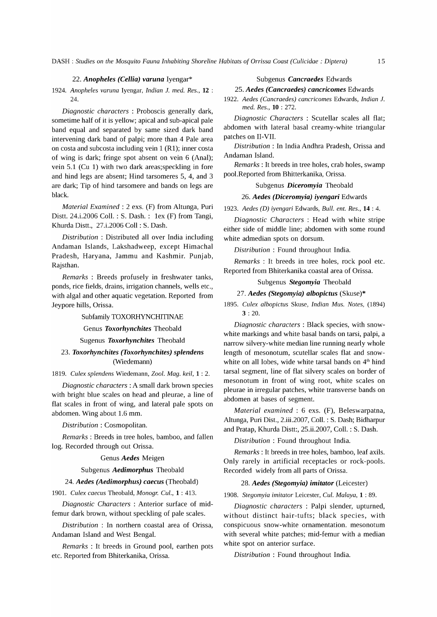## *22. Anopheles (Cellia) varuna* Iyengar\*

*1924. Anopheles varuna* Iyengar, *Indian* 1. *med. Res.,* 12 :  $24.$ 

*Diagnostic characters* : Proboscis generally dark, sometime half of it is yellow; apical and sub-apical pale band equal and separated by same sized dark band intervening dark band of palpi; more than 4 Pale area on costa and subcosta including vein 1 (R1); inner costa of wing is dark; fringe spot absent on vein 6 (Anal); vein 5.1 (Cu 1) with two dark areas;speckling in fore and hind legs are absent; Hind tarsomeres 5, 4, and 3 are dark; Tip of hind tarsomere and bands on legs are black.

*Material Examined:* 2 exs. (F) from Altunga, Puri Distt. 24.i.2006 ColI. : S. Dash.: lex (F) from Tangi, Khurda Distt., 27.i.2006 ColI: S. Dash.

*Distribution* : Distributed all over India including Andaman Islands, Lakshadweep, except Himachal Pradesh, Haryana, Jammu and Kashmir. Punjab, Rajsthan.

*Remarks* : Breeds profusely in freshwater tanks, ponds, rice fields, drains, irrigation channels, wells etc., with algal and other aquatic vegetation. Reported from Jeypore hills, Orissa.

#### Subfamily TOXORHYNCHITINAE

# Genus *Toxorhynchites* Theobald

# Sugenus *Toxorhynchites* Theobald

# *23. Toxorhynchites (Toxorhynchites) splendens*  (Wiedemann)

#### *1819. Culex splendens* Wiedemann, *Zoo1. Mag. keil,* 1 : 2.

*Diagnostic characters:* A small dark brown species with bright blue scales on head and pleurae, a line of flat scales in front of wing, and lateral pale spots on abdomen. Wing about 1.6 mm.

*Distribution* : Cosmopolitan.

*Remarks:* Breeds in tree holes, bamboo, and fallen log. Recorded through out Orissa.

#### Genus *Aedes* Meigen

#### Subgenus *Aedimorphus* Theobald

# *24. Aedes (Aedimorphus) caecus* (Theobald)

*1901. Culex caecus* Theobald, *Monogr. CuI.,* 1 : 413.

*Diagnostic Characters* : Anterior surface of midfemur dark brown, without speckling of pale scales.

*Distribution* : In northern coastal area of Orissa, Andaman Island and West Bengal.

*Remarks* : It breeds in Ground pool, earthen pots etc. Reported from Bhiterkanika, Orissa.

## Subgenus *Cancraedes* Edwards

# *25. Aedes (Cancraedes) cancricomes* Edwards

*1922. Aedes (Cancraedes) cancricomes* Edwards, *Indian 1. med. Res.,* 10 : 272.

*Diagnostic Characters* : Scutellar scales all flat; abdomen with lateral basal creamy-white triangular patches on II-VII.

*Distribution* : In India Andhra Pradesh, Orissa and Andaman Island.

*Remarks:* It breeds in tree holes, crab holes, swamp pool. Reported from Bhitterkanika, Orissa.

# Subgenus *Diceromyia* Theobald

#### *26. Aedes (Diceromyia) iyengari* Edwards

*1923. Aedes* (D) *iyengari* Edwards, *Bull. ent. Res.,* 14 : 4.

*Diagnostic Characters* : Head with white stripe either side of middle line; abdomen with some round white admedian spots on dorsum.

*Distribution* : Found throughout India.

*Remarks* : It breeds in tree holes, rock pool etc. Reported from Bhiterkanika coastal area of Orissa.

#### Subgenus *Stegomyia* Theobald

#### *27. Aedes (Stegomyia) albopictus* (Skuse)\*

*1895. Culex albopictus* Skuse, *Indian Mus. Notes, (1894)*  3 : 20.

*Diagnostic characters* : Black species, with snowwhite markings and white basal bands on tarsi, palpi, a narrow silvery-white median line running nearly whole length of mesonotum, scutellar scales flat and snowwhite on all lobes, wide white tarsal bands on  $4<sup>th</sup>$  hind tarsal segment, line of flat silvery scales on border of mesonotum in front of wing root, white scales on pleurae in irregular patches, white transverse bands on abdomen at bases of segment.

*Material examined* : 6 exs. (F), Beleswarpatna, Altunga, Puri Dist., 2.iii.2007, ColI. : S. Dash; Bidharpur and Pratap, Khurda Distt:, 25.ii.2007, ColI. : S. Dash.

*Distribution* : Found throughout India.

*Remarks*: It breeds in tree holes, bamboo, leaf axils. Only rarely in artificial receptacles or rock-pools. Recorded widely from all parts of Orissa.

#### *28. Aedes (Stegomyia) imitator* (Leicester)

*1908. Stegomyia imitator* Leicester, *CuI. Malaya,* 1 : 89.

*Diagnostic characters* : Palpi slender, upturned, without distinct hair-tufts; black species, with conspicuous snow-white ornamentation. mesonotum with several white patches; mid-femur with a median white spot on anterior surface.

*Distribution* : Found throughout India.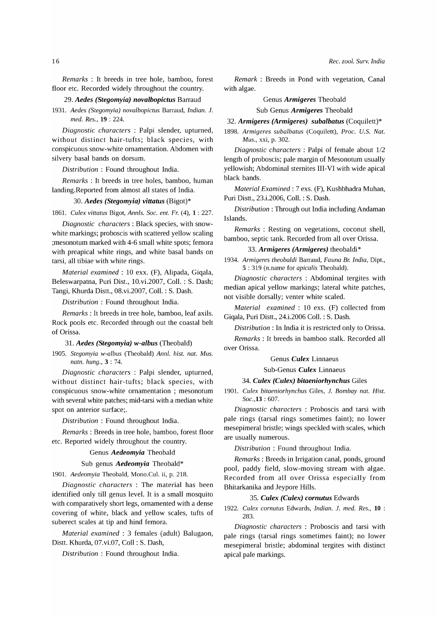*Remarks* : It breeds in tree hole, bamboo, forest floor etc. Recorded widely throughout the country.

#### *29. Aedes (Stegomyia) novalbopictus* Barraud

*1931. Aedes (Stegomyia) novalbopictus* Barraud, *Indian. 1. med. Res.,* 19 : 224.

*Diagnostic characters* : Palpi slender, upturned, without distinct hair-tufts; black species, with conspicuous snow-white ornamentation. Abdomen with silvery basal bands on dorsum.

*Distribution* : Found throughout India.

*Remarks* : It breeds in tree holes, bamboo, human landing. Reported from almost all states of India.

#### *30. Aedes (Stegomyia) vittatus* (Bigot)\*

1861. *Culex vittatus* Bigot, *AnnIs. Soc. ent. Fr.* (4), 1 : 227.

*Diagnostic characters:* Black species, with snowwhite markings; proboscis with scattered yellow scaling ;mesonotum marked with 4-6 small white spots; femora with preapical white rings, and white basal bands on tarsi, all tibiae with white rings.

*Material examined:* 10 exx. (F), Alipada, Giqala, Beleswarpatna, Puri Dist., 10.vi.2007, ColI. : S. Dash; Tangi, Khurda Distt., OS.vi.2007, ColI. : S. Dash.

*Distribution* : Found throughout India.

*Remarks*: It breeds in tree hole, bamboo, leaf axils. Rock pools etc. Recorded through out the coastal belt of Orissa.

#### *31. Aedes (Stegomyia) w-albus* (Theobald)

*1905. Stegomyia w-albus* (Theobald) *Annl. hist. nat. Mus. natn. hung.,* 3 : 74.

*Diagnostic characters* : Palpi slender, upturned, without distinct hair-tufts; black species, with conspicuous snow-white ornamentation ; mesonotum with several white patches; mid-tarsi with a median white spot on anterior surface;.

*Distribution* : Found throughout India.

*Remarks:* Breeds in tree hole, bamboo, forest floor etc. Reported widely throughout the country.

#### Genus *Aedeomyia* Theobald

#### Sub genus *Aedeomyia* Theobald\*

*1901. Aedeomyia* Theobald, Mono.CuI. ii, p. 218.

*Diagnostic characters* : The material has been identified only till genus level. It is a small mosquito with comparatively short legs, ornamented with a dense covering of white, black and yellow scales, tufts of suberect scales at tip and hind femora.

*Material examined:* 3 females (adult) Balugaon, Distt. Khurda, 07.vi.07, Coll: S. Dash,

*Distribution* : Found throughout India.

*Remark* : Breeds in Pond with vegetation, Canal with algae.

## Genus *Armigeres* Theobald

Sub Genus *Armigeres* Theobald

#### *32. Armigeres (Armigeres) subalbatus* (Coquilett)\*

*1898. Armigeres subalbatus* (Coquilett), *Proc. U.S. Nat. Mus.,* xxi, p. 302.

*Diagnostic characters* : Palpi of female about 1/2 length of proboscis; pale margin of Mesonotum usually yellowish; Abdominal sternites III-VI with wide apical black bands.

*Material Examined:* 7 exs. (F), Kushbhadra Muhan, Puri Distt., 23.i.2006, ColI. : S. Dash.

*Distribution* : Through out India including Andaman Islands.

*Remarks* : Resting on vegetations, coconut shell, bamboo, septic tank. Recorded from all over Orissa.

## *33. Armigeres (Armigeres)* theobaldi\*

*1934. Armigeres theobaldi* Barraud, *Fauna* Br. *India,* Dipt., 5 : 319 (n.name for *apicalis* Theobald).

*Diagnostic characters* : Abdominal tergites with median apical yellow markings; lateral white patches, not visible dorsally; venter white scaled.

*Material examined:* 10 exs. (F) collected from Giqala, Puri Distt., 24.i.2006 ColI. : S. Dash.

*Distribution:* In India it is restricted only to Orissa.

*Remarks* : It breeds in bamboo stalk. Recorded all over Orissa.

Genus *Culex* Linnaeus

Sub-Genus *Culex* Linnaeus

#### *34. Culex (Culex) bitaeniorhynchus* Giles

*1901. Culex bitaeniorhynchus* Giles, 1. *Bombay nat. Rist. Soc.,13* : 607.

*Diagnostic characters* : Proboscis and tarsi with pale rings (tarsal rings sometimes faint); no lower mesepimeral bristle; wings speckled with scales, which are usually numerous.

*Distribution* : Found throughout India.

*Remarks:* Breeds in Irrigation canal, ponds, ground pool, paddy field, slow-moving stream with algae. Recorded from all over Orissa especially from Bhitarkanika and Jeypore Hills.

# *35. Culex (Culex) cornutus* Edwards

*1922. Culex cornutus* Edwards, *Indian.* 1. *med. Res.,* 10 : 283.

*Diagnostic characters* : Proboscis and tarsi with pale rings (tarsal rings sometimes faint); no lower mesepimeral bristle; abdominal tergites with distinct apical pale markings.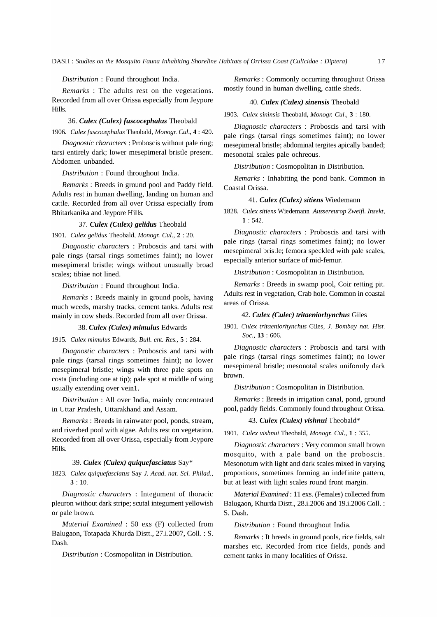*Distribution* : Found throughout India.

*Remarks* : The adults rest on the vegetations. Recorded from all over Orissa especially from Jeypore Hills.

*36. Culex (Culex) fuscocephalus* Theobald

*1906. Culex fuscocephalus* Theobald, *Monogr. CuI.,* 4 : 420.

*Diagnostic characters:* Proboscis without pale ring; tarsi entirely dark; lower mesepimeral bristle present. Abdomen unbanded.

*Distribution* : Found throughout India.

*Remarks:* Breeds in ground pool and Paddy field. Adults rest in human dwelling, landing on human and cattle. Recorded from all over Orissa especially from Bhitarkanika and Jeypore Hills.

#### *37. Culex (Culex) gelidus* Theobald

*1901. Culex gelidus* Theobald, *Monogr. CuI.,* 2 : 20.

*Diagnostic characters* : Proboscis and tarsi with pale rings (tarsal rings sometimes faint); no lower mesepimeral bristle; wings without unusually broad scales; tibiae not lined.

*Distribution* : Found throughout India.

*Remarks* : Breeds mainly in ground pools, having much weeds, marshy tracks, cement tanks. Adults rest mainly in cow sheds. Recorded from all over Orissa.

## *38. Culex (Culex) mimulus* Edwards

*1915. Culex mimulus* Edwards, *Bull. ent. Res.,* 5 : 284.

*Diagnostic characters* : Proboscis and tarsi with pale rings (tarsal rings sometimes faint); no lower mesepimeral bristle; wings with three pale spots on costa (including one at tip); pale spot at middle of wing usually extending over veinl.

*Distribution* : All over India, mainly concentrated in Uttar Pradesh, Uttarakhand and Assam.

*Remarks:* Breeds in rainwater pool, ponds, stream, and riverbed pool with algae. Adults rest on vegetation. Recorded from all over Orissa, especially from Jeypore Hills.

## *39. Culex (Culex) quiquefasciatus* Say\*

*1823. Culex quiquefasciatus* Say 1. *Acad, nat.* Sci. *Philad.,*   $3:10.$ 

*Diagnostic characters* : Integument of thoracic pleuron without dark stripe; scutal integument yellowish or pale brown.

*Material Examined* : 50 exs (F) collected from Balugaon, Totapada Khurda Distt., 27.i.2007, ColI. : S. Dash.

*Distribution* : Cosmopolitan in Distribution.

*Remarks:* Commonly occurring throughout Orissa mostly found in human dwelling, cattle sheds.

#### *40. Culex (Culex) sinensis* Theobald

*1903. Culex sininsis* Theobald, *Monogr. CuI.,* 3 : 180.

*Diagnostic characters* : Proboscis and tarsi with pale rings (tarsal rings sometimes faint); no lower mesepimeral bristle; abdominal tergites apically banded; mesonotal scales pale ochreous.

*Distribution:* Cosmopolitan in Distribution.

*Remarks* : Inhabiting the pond bank. Common in Coastal Orissa.

#### *41. Culex (Culex) sitiens* Wiedemann

*1828. Culex sitiens* Wiedemann *Aussereurop Zwei{l. Insekt,*   $1:542.$ 

*Diagnostic characters* : Proboscis and tarsi with pale rings (tarsal rings sometimes faint); no lower mesepimeral bristle; femora speckled with pale scales, especially anterior surface of mid-femur.

*Distribution:* Cosmopolitan in Distribution.

*Remarks* : Breeds in swamp pool, Coir retting pit. Adults rest in vegetation, Crab hole. Common in coastal areas of Orissa.

#### *42. Culex (Culec) tritaeniorhynchus* Giles

*1901. Culex tritaeniorhynchus* Giles, 1. *Bombay nat. Hist. Soc.,* 13 : 606.

*Diagnostic characters* : Proboscis and tarsi with pale rings (tarsal rings sometimes faint); no lower mesepimeral bristle; mesonotal scales uniformly dark brown.

*Distribution* : Cosmopolitan in Distribution.

*Remarks:* Breeds in irrigation canal, pond, ground pool, paddy fields. Commonly found throughout Orissa.

#### *43. Culex (Culex) vishnui* Theobald\*

*1901. Culex vishnui* Theobald, *Monogr. CuI.,* 1 : 355.

*Diagnostic characters:* Very common small brown mosquito, with a pale band on the proboscis. Mesonotum with light and dark scales mixed in varying proportions, sometimes forming an indefinite pattern, but at least with light scales round front margin.

*Material Examined:* 11 exs. (Females) collected from Balugaon, Khurda Distt., 28.i.2006 and 19.i.2006 ColI. : S. Dash.

*Distribution* : Found throughout India.

*Remarks* : It breeds in ground pools, rice fields, salt marshes etc. Recorded from rice fields, ponds and cement tanks in many localities of Orissa.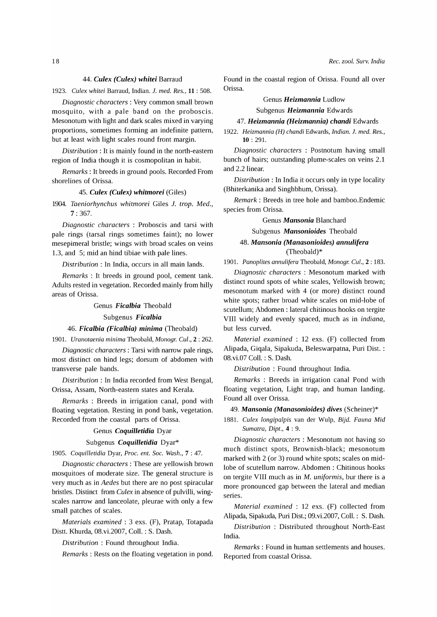## *44. Culex (Culex) whitei* Barraud

*1923. Culex whitei* Barraud, Indian. 1. *med. Res.,* 11 : 508.

*Diagnostic characters:* Very common small brown mosquito, with a pale band on the proboscis. Mesonotum with light and dark scales mixed in varying proportions, sometimes forming an indefinite pattern, but at least with light scales round front margin.

*Distribution:* It is mainly found in the north-eastern region of India though it is cosmopolitan in habit.

*Remarks:* It breeds in ground pools. Recorded From shorelines of Orissa.

#### *45. Culex (Culex) whitmorei* (Giles)

*1904. Taeniorhynchus whitmorei* Giles 1. *trap. Med.,*  7: 367.

*Diagnostic characters* : Proboscis and tarsi with pale rings (tarsal rings sometimes faint); no lower mesepimeral bristle; wings with broad scales on veins 1.3, and 5; mid an hind tibiae with pale lines.

*Distribution:* In India, occurs in all main lands.

*Remarks* : It breeds in ground pool, cement tank. Adults rested in vegetation. Recorded mainly from hilly areas of Orissa.

#### Genus *Ficalbia* Theobald

#### Subgenus *Ficalbia*

# *46. Ficalbia (Ficalbia) minima* (Theobald)

*1901. Uranotaenia minima* Theobald, *Monogr. CuI.,* 2 : 262.

*Diagnostic characters:* Tarsi with narrow pale rings, most distinct on hind legs; dorsum of abdomen with transverse pale bands.

*Distribution* : In India recorded from West Bengal, Orissa, Assam, North-eastern states and Kerala.

*Remarks* : Breeds in irrigation canal, pond with floating vegetation. Resting in pond bank, vegetation. Recorded from the coastal parts of Orissa.

# Genus *Coquilletidia* Dyar

### Subgenus *Coquilletidia* Dyar\*

*1905. Coquilletidia* Dyar, *Proc. ent. Soc. Wash.,* 7 : 47.

*Diagnostic characters:* These are yellowish brown mosquitoes of moderate size. The general structure is very much as in *Aedes* but there are no post spiracular bristles. Distinct from *Culex* in absence of pulvilli, wingscales narrow and lanceolate, pleurae with only a few small patches of scales.

*Materials examined:* 3 exs. (F), Pratap, Totapada Distt. Khurda, 08.vi.2007, ColI. : S. Dash.

*Distribution* : Found throughout India.

*Remarks:* Rests on the floating vegetation in pond.

Found in the coastal region of Orissa. Found all over Orissa.

# Genus *Heizmannia* Ludlow

Subgenus *Heizmannia* Edwards

## *47. Heizmannia (Heizmannia) chandi* Edwards

*1922. Reizmannia (R) chandi* Edwards, *Indian.* 1. *med. Res.,*  10 : 291.

*Diagnostic characters* : Postnotum having small bunch of hairs; outstanding plume-scales on veins 2.1 and 2.2 linear.

*Distribution:* In India it occurs only in type locality (Bhiterkanika and Singhbhum, Orissa).

*Remark:* Breeds in tree hole and bamboo.Endemic species from Orissa.

Genus *Mansonia* Blanchard

Subgenus *Mansonioides* Theobald

# *48. Mansonia (Manasonioides) annulifera*  (Theobald)\*

*1901. Panoplites annulifera* Theobald, *Monogr. CuI.,* 2 : 183.

*Diagnostic characters* : Mesonotum marked with distinct round spots of white scales, Yellowish brown; mesonotum marked with 4 (or more) distinct round white spots; rather broad white scales on mid-lobe of scutellum; Abdomen: lateral chitinous hooks on tergite VIII widely and evenly spaced, much as in *indiana,*  but less curved.

*Material examined* : 12 exs. (F) collected from Alipada, Giqala, Sipakuda, Beleswarpatna, Puri Dist. : 08.vi.07 ColI. : S. Dash.

*Distribution* : Found throughout India.

*Remarks* : Breeds in irrigation canal Pond with floating vegetation, Light trap, and human landing. Found all over Orissa.

#### *49. Mansonia (Manasonioides) dives* (Scheiner)\*

1881. *Culex longipalpis* van der Wulp, *Bijd. Fauna Mid Sumatra, Dipt.,* 4 : 9.

*Diagnostic characters* : Mesonotum not having so much distinct spots, Brownish-black; mesonotum marked with 2 (or 3) round white spots; scales on midlobe of scutellum narrow. Abdomen: Chitinous hooks on tergite VIII much as in M. *uniformis,* bur there is a more pronounced gap between the lateral and median series.

*Material examined* : 12 exs. (F) collected from Alipada, Sipakuda, Puri Dist.; 09.vi.2007, ColI.: S. Dash.

*Distribution* : Distributed throughout North-East India.

*Remarks:* Found in human settlements and houses. Reported from coastal Orissa.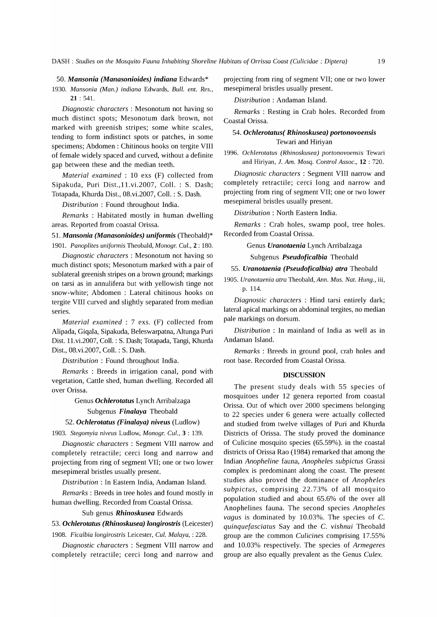*50. Mansonia (Manasonioides) indiana* Edwards\*

*1930. Mansonia (Man.) indiana* Edwards, *Bull. ent. Res.,*  21 : 541.

*Diagnostic characters* : Mesonotum not having so much distinct spots; Mesonotum dark brown, not marked with greenish stripes; some white scales, tending to form indistinct spots or patches, in some specimens; Abdomen: Chitinous hooks on tergite VIII of female widely spaced and curved, without a definite gap between these and the median teeth.

*Material examined* : 10 exs (F) collected from Sipakuda, Puri Dist.,I1.vi.2007, ColI. : S. Dash; Totapada, Khurda Dist., OS.vi.2007, ColI. : S. Dash.

*Distribution* : Found throughout India.

*Remarks* : Habitated mostly in human dwelling areas. Reported from coastal Orissa.

51. *Mansonia (Manasonioides) uniformis* (Theobald)\* *1901. Panoplites uniformis* Theobald, *Monogr. CuI.,* 2 : 180.

*Diagnostic characters* : Mesonotum not having so much distinct spots; Mesonotum marked with a pair of sub lateral greenish stripes on a brown ground; markings on tarsi as in annulifera but with yellowish tinge not snow-white; Abdomen : Lateral chitinous hooks on tergite VIII curved and slightly separated from median series.

*Material examined* : 7 exs. (F) collected from Alipada, Giqala, Sipakuda, Beleswarpatna, Altunga Puri Dist. l1.vi.2007, ColI. : S. Dash; Totapada, Tangi, Khurda Dist., OS.vi.2007, ColI. : S. Dash.

*Distribution* : Found throughout India.

*Remarks* : Breeds in irrigation canal, pond with vegetation, Cattle shed, human dwelling. Recorded all over Orissa.

Genus *Ochlerotatus* Lynch Arribalzaga

#### Subgenus *Finalaya* Theobald

*52. Ochlerotatus (Finalaya) niveus* (Ludlow)

*1903. Stegomyia niveus* Ludlow, *Monogr. CuI.,* 3 : 139.

*Diagnostic characters* : Segment VIII narrow and completely retractile; cerci long and narrow and projecting from ring of segment VII; one or two lower mesepimeral bristles usually present.

*Distribution* : In Eastern India, Andaman Island.

*Remarks:* Breeds in tree holes and found mostly in human dwelling. Recorded from Coastal Orissa.

# Sub genus *Rhinoskusea* Edwards

*53. Ochlerotatus (Rhinoskusea) longirostris* (Leicester) *1908. Ficalbia longirostris* Leicester, *CuI. Malaya,* : 228.

*Diagnostic characters* : Segment VIII narrow and completely retractile; cerci long and narrow and projecting from ring of segment VII; one or two lower mesepimeral bristles usually present.

*Distribution* : Andaman Island.

*Remarks* : Resting in Crab holes. Recorded from Coastal Orissa.

# *54. Ochlerotatus( Rhinoskusea) portonovoensis*  Tewari and Hiriyan

*1996. Ochlerotatus (Rhinoskusea) portonovoensis* Tewari and Hiriyan, 1. *Am. Mosq. Control Assoc.,* 12 : 720.

*Diagnostic characters* : Segment VIII narrow and completely retractile; cerci long and narrow and projecting from ring of segment VII; one or two lower mesepimeral bristles usually present.

*Distribution:* North Eastern India.

*Remarks* : Crab holes, swamp pool, tree holes. Recorded from Coastal Orissa.

Genus *Uranotaenia* Lynch Arribalzaga

Subgenus *Pseudoficalbia* Theobald

#### *55. Uranotaenia (Pseudoficalbia) atra* Theobald

*1905. Uranotaenia atra* Theobald, *Ann. Mus. Nat. Hung.,* iii, p. 114.

*Diagnostic characters* : Hind tarsi entirely dark; lateral apical markings on abdominal tergites, no median pale markings on dorsum.

*Distribution* : In mainland of India as well as in Andaman Island.

*Remarks* : Breeds in ground pool, crab holes and root base. Recorded from Coastal Orissa.

## **DISCUSSION**

The present study deals with 55 species of mosquitoes under 12 genera reported from coastal Orissa. Out of which over 2000 specimens belonging to 22 species under 6 genera were actually collected and studied from twelve villages of Puri and Khurda Districts of Orissa. The study proved the dominance of Culicine mosquito species (65.59%). in the coastal districts of Orissa Rao (19S4) remarked that among the Indian *Anopheline* fauna, *Anopheles subpictus* Grassi complex is predominant along the coast. The present studies also proved the dominance of *Anopheles subpictus,* comprising 22.73% of all mosquito population studied and about 65.6% of the over all Anophelines fauna. The second species *Anopheles vagus* is dominated by 10.03%. The species of C. *quinquefasciatus* Say and the C. *vishnui* Theobald group are the common *Culicines* comprising 17.55% and 10.03% respectively. The species of *Armegeres*  group are also equally prevalent as the Genus *Culex.*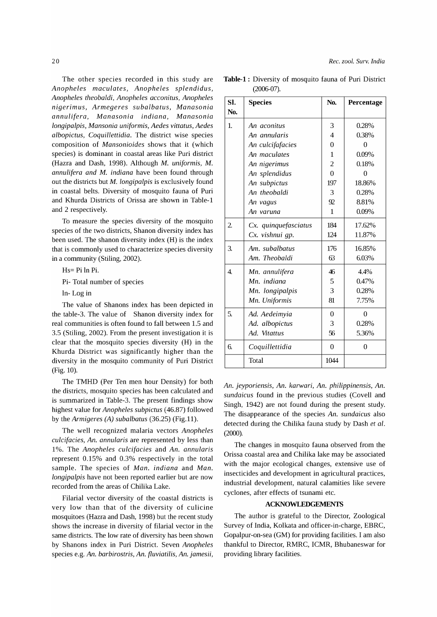The other species recorded in this study are *Anopheles maculates, Anopheles splendidus, Anopheles theobaldi, Anopheles acconitus, Anopheles nigerimus, Armegeres subalbatus, Manasonia annulifera, Manasonia indiana, Manasonia longipalpis, Mansonia uniformis, Aedes vittatus, Aedes albopictus, Coquillettidia.* The district wise species composition of *Mansonioides* shows that it (which species) is dominant in coastal areas like Puri district (Hazra and Dash, 1998). Although M. *uniformis,* M. *annulifera and* M. *indiana* have been found through out the districts but M. *longipalpis* is exclusively found in coastal belts. Diversity of mosquito fauna of Puri and Khurda Districts of Orissa are shown in Table-l and 2 respectively.

To measure the species diversity of the mosquito species of the two districts, Shanon diversity index has been used. The shanon diversity index (H) is the index that is commonly used to characterize species diversity in a community (Stiling, 2002).

Hs= Pi In Pi.

Pi- Total number of species

In- Log in

The value of Shanons index has been depicted in the table-3. The value of Shanon diversity index for real communities is often found to fall between 1.5 and 3.5 (Stiling, 2002). From the present investigation it is clear that the mosquito species diversity (H) in the Khurda District was significantly higher than the diversity in the mosquito community of Puri District (Fig. 10).

The TMHD (Per Ten men hour Density) for both the districts, mosquito species has been calculated and is summarized in Table-3. The present findings show highest value for *Anopheles subpictus* (46.87) followed by the *Armigeres (A) subalbatus* (36.25) (Fig.ll).

The well recognized malaria vectors *Anopheles culcifacies, An. annularis* are represented by less than 1 %. The *Anopheles culcifacies* and *An. annularis*  represent 0.15% and 0.3% respectively in the total sample. The species of *Man. indiana* and *Man. longipalpis* have not been reported earlier but are now recorded from the areas of Chilika Lake.

Filarial vector diversity of the coastal districts is very low than that of the diversity of culicine mosquitoes (Hazra and Dash, 1998) but the recent study shows the increase in diversity of filarial vector in the same districts. The low rate of diversity has been shown by Shanons index in Puri District. Seven *Anopheles*  species e.g. *An. barbirostris, An. fluviatilis, An. jamesii,* 

|               | Table-1: Diversity of mosquito fauna of Puri District |  |  |
|---------------|-------------------------------------------------------|--|--|
| $(2006-07)$ . |                                                       |  |  |

*Rec. zool. Surv. India* 

| SI.<br>No.     | <b>Species</b>       | N <sub>0</sub> | Percentage     |
|----------------|----------------------|----------------|----------------|
| 1.             | An aconitus          | 3              | 0.28%          |
|                | An annularis         | 4              | 0.38%          |
|                | An culcifafacies     | $\Omega$       | $\Omega$       |
|                | An maculates         | 1              | 0.09%          |
|                | An nigerimus         | 2              | 0.18%          |
|                | An splendidus        | $\Omega$       | $\Omega$       |
|                | An subpictus         | 197            | 18.86%         |
|                | An theobaldi         | 3              | 0.28%          |
|                | An vagus             | 92             | 8.81%          |
|                | An varuna            | 1              | 0.09%          |
| 2.             | Cx. quinquefasciatus | 184            | 17.62%         |
|                | Cx. vishnui gp.      | 124            | 11.87%         |
| 3.             | Am. subalbatus       | 176            | 16.85%         |
|                | Am. Theobaldi        | 63             | 6.03%          |
| $\overline{4}$ | Mn. annulifera       | 46             | 4.4%           |
|                | Mn. indiana          | 5              | 0.47%          |
|                | Mn. longipalpis      | 3              | 0.28%          |
|                | Mn. Uniformis        | 81             | 7.75%          |
| 5.             | Ad. Aedeimyia        | $\theta$       | $\overline{0}$ |
|                | Ad. albopictus       | 3              | 0.28%          |
|                | Ad. Vitattus         | 56             | 5.36%          |
| 6.             | Coquillettidia       | $\overline{0}$ | 0              |
|                | Total                | 1044           |                |

*An. jeyporiensis, An. karwari, An. philippinensis, An. sundaicus* found in the previous studies (Covell and Singh, 1942) are not found during the present study. The disappearance of the species *An. sundaicus* also detected during the Chilika fauna study by Dash *et a1.*  (2000).

The changes in mosquito fauna observed from the Orissa coastal area and Chilika lake may be associated with the major ecological changes, extensive use of insecticides and development in agricultural practices, industrial development, natural calamities like severe cyclones, after effects of tsunami etc.

# **ACKNOWLEDGEMENTS**

The author is grateful to the Director, Zoological Survey of India, Kolkata and officer-in-charge, EBRC, Gopalpur-on-sea (GM) for providing facilities. I am also thankful to Director, RMRC, ICMR, Bhubaneswar for providing library facilities.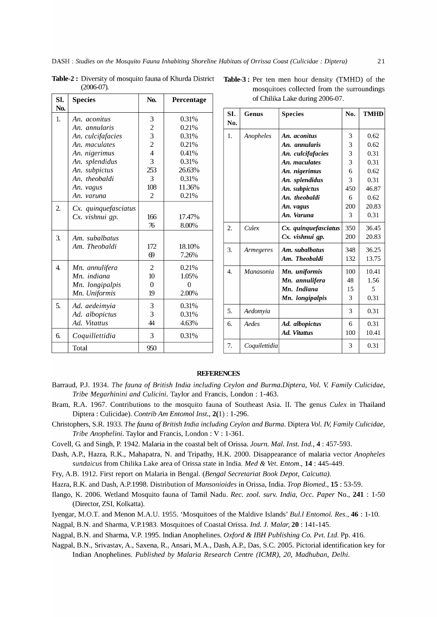| SI.              | <b>Species</b>                  | No.            | Percentage     | of Chilika Lake during 2006-07. |                  |               |                      |     |             |
|------------------|---------------------------------|----------------|----------------|---------------------------------|------------------|---------------|----------------------|-----|-------------|
| No.              |                                 |                |                |                                 | SI.              | <b>Genus</b>  | <b>Species</b>       | No. | <b>TMHI</b> |
| 1.               | An. aconitus                    | 3              | 0.31%          |                                 | No.              |               |                      |     |             |
|                  | An. annularis                   | 2              | 0.21%          |                                 |                  |               |                      |     |             |
|                  | An. culcifafacies               | 3              | 0.31%          |                                 | 1.               | Anopheles     | An. aconitus         | 3   | 0.62        |
|                  | An. maculates                   | 2              | 0.21%          |                                 |                  |               | An. annularis        | 3   | 0.62        |
|                  | An. nigerimus                   | 4              | 0.41%          |                                 |                  |               | An. culcifafacies    | 3   | 0.31        |
|                  | An. splendidus                  | 3              | 0.31%          |                                 |                  |               | An. maculates        | 3   | 0.31        |
|                  | An. subpictus                   | 253            | 26.63%         |                                 |                  |               | An. nigerimus        | 6   | 0.62        |
|                  | An. theobaldi                   | 3              | 0.31%          |                                 |                  |               | An. splendidus       | 3   | 0.31        |
|                  | An. vagus                       | 108            | 11.36%         |                                 |                  |               | An. subpictus        | 450 | 46.87       |
|                  | An. varuna                      | 2              | 0.21%          |                                 |                  |               | An. theobaldi        | 6   | 0.62        |
| 2.               | Cx. quinquefasciatus            |                |                |                                 |                  |               | An. vagus            | 200 | 20.83       |
|                  | Cx. vishnui qp.                 | 166            | 17.47%         |                                 |                  |               | An. Varuna           | 3   | 0.31        |
|                  |                                 | 76             | 8.00%          |                                 | 2.               | Culex         | Cx. quinquefasciatus | 350 | 36.45       |
|                  |                                 |                |                |                                 |                  |               | Cx. vishnui qp.      | 200 | 20.83       |
| З.               | Am. subalbatus<br>Am. Theobaldi | 172            | 18.10%         |                                 |                  |               |                      |     |             |
|                  |                                 | $\Theta$       | 7.26%          |                                 | 3.               | Armegeres     | Am. subalbatus       | 348 | 36.25       |
|                  |                                 |                |                |                                 |                  |               | Am. Theobaldi        | 132 | 13.75       |
| $\overline{4}$ . | Mn. annulifera                  | $\overline{2}$ | 0.21%          |                                 | $\overline{4}$ . | Manasonia     | Mn. uniformis        | 100 | 10.41       |
|                  | Mn. indiana                     | 10             | 1.05%          |                                 |                  |               | Mn. annulifera       | 48  | 1.56        |
|                  | Mn. longipalpis                 | $\Omega$       | $\overline{0}$ |                                 |                  |               | Mn. Indiana          | 15  | 5           |
|                  | Mn. Uniformis                   | 19             | 2.00%          |                                 |                  |               | Mn. longipalpis      | 3   | 0.31        |
| 5.               | Ad. aedeimyia                   | 3              | 0.31%          |                                 |                  |               |                      |     |             |
|                  | Ad. albopictus                  | 3              | 0.31%          |                                 | 5.               | Aedomyia      |                      | 3   | 0.31        |
|                  | Ad. Vitattus                    | 44             | 4.63%          |                                 | 6.               | Aedes         | Ad. albopictus       | 6   | 0.31        |
| 6.               | Coquillettidia                  | 3              | 0.31%          |                                 |                  |               | <b>Ad. Vitattus</b>  | 100 | 10.41       |
|                  | <b>Total</b>                    | 950            |                |                                 | 7.               | Coquilettidia |                      | 3   | 0.31        |

Table-2: Diversity of mosquito fauna of Khurda District T (2006-07).

| Table-3: Per ten men hour density (TMHD) of the |  |  |  |  |  |  |  |
|-------------------------------------------------|--|--|--|--|--|--|--|
| mosquitoes collected from the surroundings      |  |  |  |  |  |  |  |
| of Chilika Lake during 2006-07.                 |  |  |  |  |  |  |  |

| An. aconitus         | 3              | 0.31%    | SI.<br>No.       | <b>Genus</b>     | <b>Species</b>       | No. | <b>TMHD</b> |
|----------------------|----------------|----------|------------------|------------------|----------------------|-----|-------------|
| An. annularis        | 2              | 0.21%    |                  |                  |                      |     |             |
| An. culcifafacies    | 3              | 0.31%    | 1.               | Anopheles        | An. aconitus         | 3   | 0.62        |
| An. maculates        | 2              | 0.21%    |                  |                  | An. annularis        | 3   | 0.62        |
| An. nigerimus        | $\overline{4}$ | 0.41%    |                  |                  | An. culcifafacies    | 3   | 0.31        |
| An. splendidus       | 3              | 0.31%    |                  |                  | An. maculates        | 3   | 0.31        |
| An. subpictus        | 253            | 26.63%   |                  |                  | An. nigerimus        | 6   | 0.62        |
| An. theobaldi        | 3              | 0.31%    |                  |                  | An. splendidus       | 3   | 0.31        |
| An. vagus            | 108            | 11.36%   |                  |                  | An. subpictus        | 450 | 46.87       |
| An. varuna           | $\overline{2}$ | 0.21%    |                  |                  | An. theobaldi        | 6   | 0.62        |
| Cx. quinquefasciatus |                |          |                  |                  | An. vagus            | 200 | 20.83       |
| Cx. vishnui qp.      | 166            | 17.47%   |                  |                  | An. Varuna           | 3   | 0.31        |
|                      | 76             | 8.00%    | 2.               | Culex            | Cx. quinquefasciatus | 350 | 36.45       |
| Am. subalbatus       |                |          |                  |                  | Cx. vishnui qp.      | 200 | 20.83       |
| Am. Theobaldi        | 172            | 18.10%   | 3.               | <b>Armegeres</b> | Am. subalbatus       | 348 | 36.25       |
|                      | 69             | 7.26%    |                  |                  | Am. Theobaldi        | 132 | 13.75       |
| Mn. annulifera       | $\overline{2}$ | 0.21%    | $\overline{4}$ . | Manasonia        | Mn. uniformis        | 100 | 10.41       |
| Mn. indiana          | 10             | 1.05%    |                  |                  | Mn. annulifera       | 48  | 1.56        |
| Mn. longipalpis      | $\Omega$       | $\Omega$ |                  |                  | Mn. Indiana          |     | 5           |
| Mn. Uniformis        | 19             | 2.00%    |                  |                  |                      | 15  | 0.31        |
| Ad. aedeimyia        | 3              | 0.31%    |                  |                  | Mn. longipalpis      | 3   |             |
| Ad. albopictus       | 3              | 0.31%    | 5.               | Aedomyia         |                      | 3   | 0.31        |
| Ad. Vitattus         | 44             | 4.63%    | 6.               | Aedes            | Ad. albopictus       | 6   | 0.31        |
| Coquillettidia       | 3              | 0.31%    |                  |                  | <b>Ad. Vitattus</b>  | 100 | 10.41       |
| Total                | 950            |          | 7.               | Coquilettidia    |                      | 3   | 0.31        |
|                      |                |          |                  |                  |                      |     |             |

# **REFERENCES**

- Barraud, *P.l.* 1934. *The fauna* of *British India including Ceylon and Burma.Diptera, Vol.* V. *Family Culicidae, Tribe Megarhinini and Culicini.* Taylor and Francis, London: 1-463.
- Bram, R.A. 1967. Contributions to the mosquito fauna of Southeast Asia. II. The genus *Culex* in Thailand Diptera: Culicidae). *Contrib Am Entomol Inst.,* 2(1) : 1-296.
- Christophers, S.R. 1933. *The fauna* of *British India including Ceylon and Burma.* Diptera *Vol. IV, Family Culicidae, Tribe Anophelini.* Taylor and Francis, London: V: 1-361.
- Covell, G. and Singh, P. 1942. Malaria in the coastal belt of Orissa. *Journ. Mal. Inst. Ind.,* 4 : 457-593.
- Dash, A.P., Hazra, R.K., Mahapatra, N. and Tripathy, H.K. 2000. Disappearance of malaria vector *Anopheles sundaicus* from Chilika Lake area of Orissa state in India. *Med* & *Vet. Entom.,* 14 : 445-449.
- Fry, A.B. 1912. First report on Malaria in Bengal. *(Bengal Secretariat Book Depot, Calcutta).*
- Hazra, R.K. and Dash, A.P.1998. Distribution of *Mansonioides* in Orissa, India. *Trap Biomed.,* 15 : 53-59.
- Ilango, K. 2006. Wetland Mosquito fauna of Tamil Nadu. *Rec. zool. surv. India, Occ. Paper* No., 241 : 1-50 (Director, ZSI, Kolkatta).
- Iyengar, M.O.T. and Menon M.A.U. 1955. 'Mosquitoes of the Maldive Islands' *Bul.l Entomol. Res.,* 46 : 1-10.

Nagpal, B.N. and Sharma, V.P.1983. Mosquitoes of Coastal Orissa. *Ind.* J. *Malar,* 20 : 141-145.

Nagpal, B.N. and Sharma, V.P. 1995. Indian Anophelines. *Oxford* & *IBH Publishing* Co. *Pvt. Ltd.* Pp. 416.

Nagpal, B.N., Srivastav, A., Saxena, R., Ansari, M.A., Dash, A.P., Das, S.c. 2005. Pictorial identification key for Indian Anophelines. *Published by Malaria Research Centre (ICMR), 20, Madhuban, Delhi.*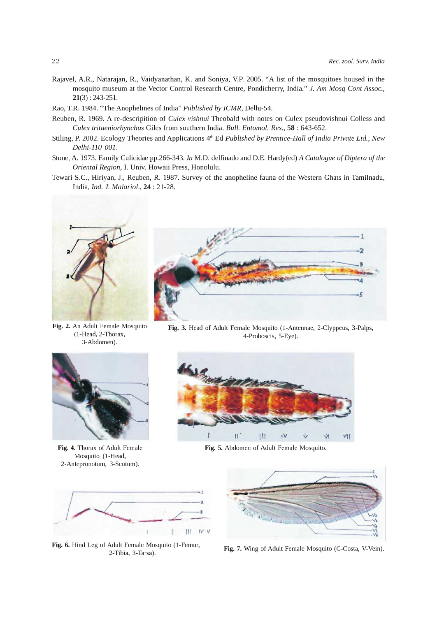- Rajavel, A.R., Natarajan, R., Vaidyanathan, K. and Soniya, v.P. 2005. "A list of the mosquitoes housed in the mosquito museum at the Vector Control Research Centre, Pondicherry, India." 1. *Am Mosq Cont Assoc.,*  21(3) : 243-251.
- Rao, T.R. 1984. "The Anophelines of India" *Published by ICMR,* Delhi-54.
- Reuben, R. 1969. A re-descripition of *Culex vishnui* Theobald with notes on Culex pseudovishnui Colless and *Culex tritaeniorhynchus* Giles from southern India. *Bull. Entomol. Res.,* 58 : 643-652.
- Stiling, P. 2002. Ecology Theories and Applications 4<sup>th</sup> Ed *Published by Prentice-Hall of India Private Ltd., New Delhi-110 001.*
- Stone, A. 1973. Family Culicidae pp.266-343. *In M.D. delfinado and D.E. Hardy(ed) A Catalogue of Diptera of the Oriental Region,* 1. Univ. Howaii Press, Honolulu.
- Tewari S.c., Hiriyan, J., Reuben, R. 1987. Survey of the anopheline fauna of the Western Ghats in Tamilnadu, India, *Ind.* 1. *Malariol.,* 24 : 21-28.



Fig. 2. An Adult Female Mosquito (1-Head, 2-Thorax, 3-Abdomen).



Fig. 4. Thorax of Adult Female Mosquito (1-Head, 2-Antepronotum, 3-Scutum).



Fig. 3. Head of Adult Female Mosquito (1-Antennae, 2-Clyppeus, 3-Palps, 4-Proboscis, 5-Eye).



Fig. 5. Abdomen of Adult Female Mosquito.



Fig. 6. Hind Leg of Adult Female Mosquito (1-Femur, 2-Tibia, 3-Tarsa).



Fig. 7. Wing of Adult Female Mosquito (C-Costa, V-Vein).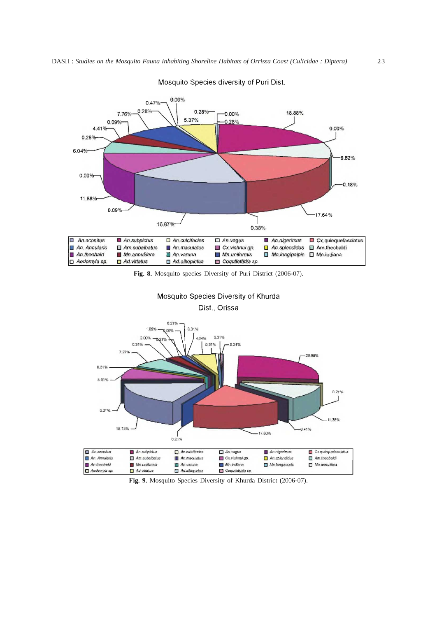

Mosquito Species diversity of Puri Dist.

Fig. 8. Mosquito species Diversity of Puri District (2006-07).





Fig. 9. Mosquito Species Diversity of Khurda District (2006-07).

Mn.indiana Coquilettida sp. ■ Mn.longipalpis

 $\Box$  Mn.annulifera

*An.WJrunB*  Cl Ad albopictus

An.theobald Cl Aed9myis *\$p.*   $\blacksquare$  Mn uniformis  $\Box$  Ad.vittatus